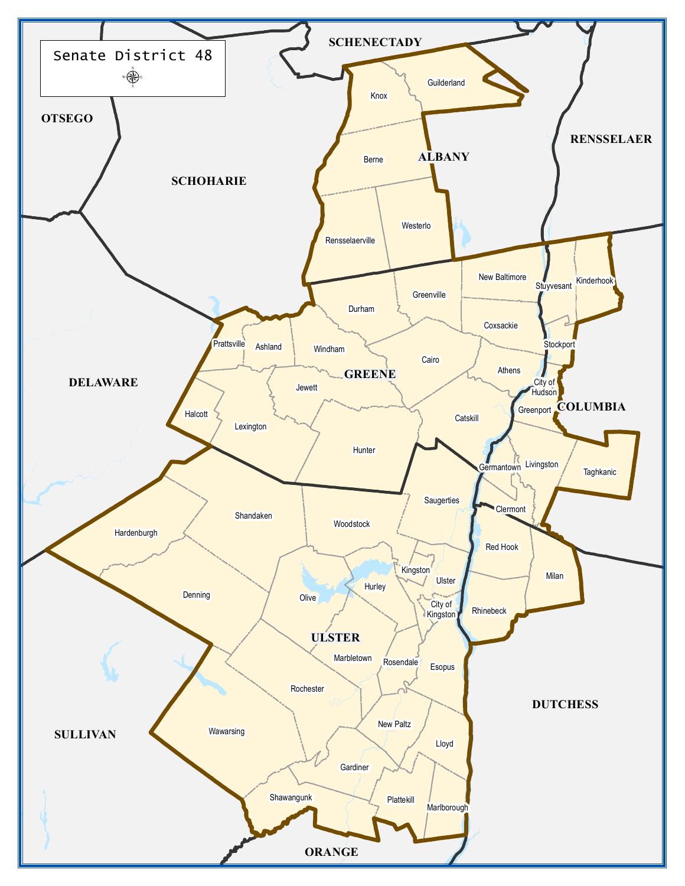